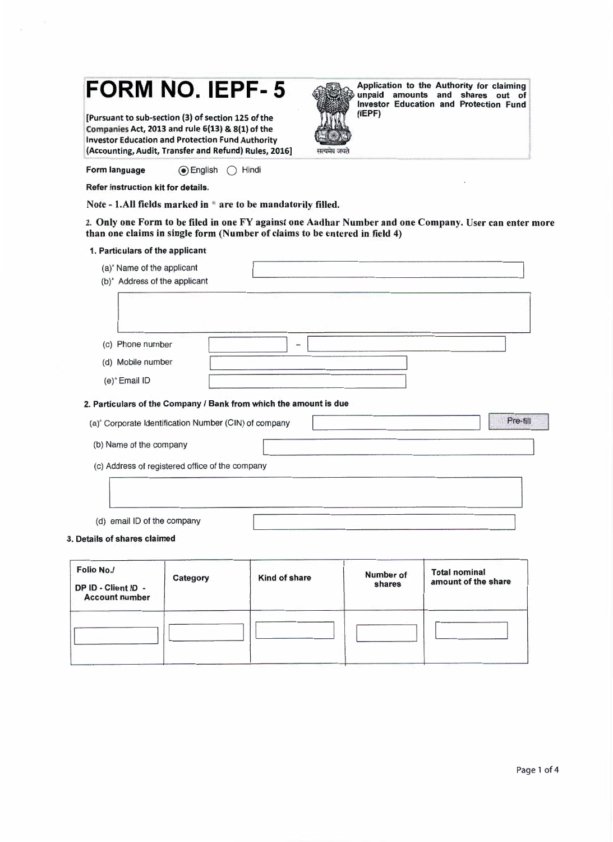# **FORM NO. IEPF- 5**

[Pursuant to sub-section (3) of section 125 of the Companies Act, 2013 and rule 6(13) & 8(1) of the Investor Education and Protection Fund Authority (Accounting, Audit, Transfer and Refund) Rules, 2016]



Application to the Authority for claiming unpaid amounts and shares out of Investor Education and Protection Fund (IEPF)

Refer instruction kit for details.

Form language @English () Hindi

Note - 1. All fields marked in  $*$  are to be mandatorily filled.

2. Only one Form to be filed in one FY against one Aadhar Number and one Company. User can enter more than one claims in single form (Number of claims to be entered in field 4)

### 1. Particulars of the applicant

| (a)* Name of the applicant<br>(b) <sup>*</sup> Address of the applicant |       |
|-------------------------------------------------------------------------|-------|
| (c) Phone number                                                        | $\!-$ |
| (d) Mobile number                                                       |       |
| (e)* Email ID                                                           |       |

#### 2. Particulars of the Company / Bank from which the amount is due

| (a) <sup>*</sup> Corporate Identification Number (CIN) of company | Pre-fill |
|-------------------------------------------------------------------|----------|
| (b) Name of the company                                           |          |
| (c) Address of registered office of the company                   |          |
|                                                                   |          |
| email ID of the company<br>(d)                                    |          |

#### 3. Details of shares claimed

| Folio No./<br>DP ID - Client ID -<br><b>Account number</b> | Category | Kind of share | <b>Number of</b><br>shares | <b>Total nominal</b><br>amount of the share |
|------------------------------------------------------------|----------|---------------|----------------------------|---------------------------------------------|
|                                                            |          |               |                            |                                             |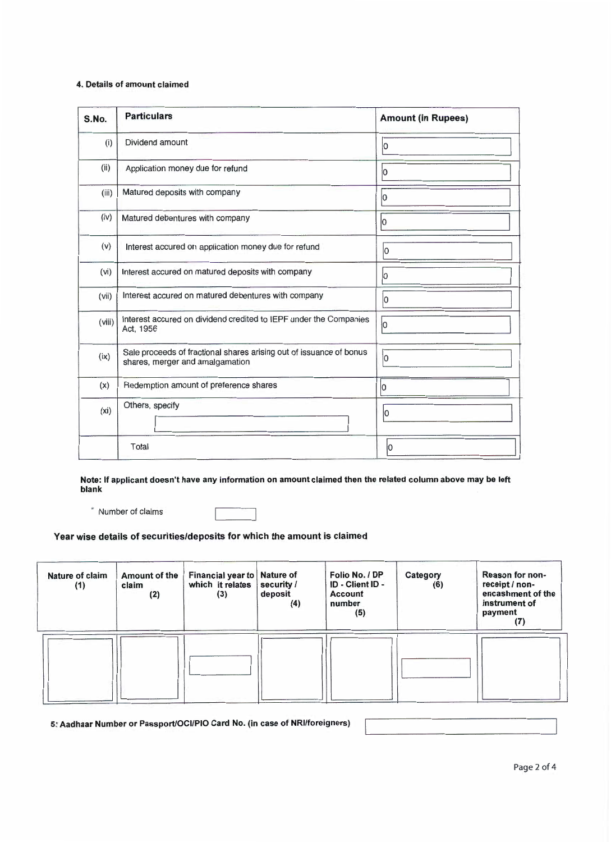## 4. Details of amount claimed

| S.No.             | <b>Particulars</b>                                                                                     | <b>Amount (in Rupees)</b> |
|-------------------|--------------------------------------------------------------------------------------------------------|---------------------------|
| (i)               | Dividend amount                                                                                        | lo                        |
| (ii)              | Application money due for refund                                                                       | lo                        |
| (iii)             | Matured deposits with company                                                                          | lО                        |
| (iv)              | Matured debentures with company                                                                        | lo                        |
| (v)               | Interest accured on application money due for refund                                                   | lo                        |
| (vi)              | Interest accured on matured deposits with company                                                      | 10                        |
| (vii)             | Interest accured on matured debentures with company                                                    | lо                        |
| (viii)            | Interest accured on dividend credited to IEPF under the Companies<br>Act, 1956                         | lo                        |
| (ix)              | Sale proceeds of fractional shares arising out of issuance of bonus<br>shares, merger and amalgamation | lo.                       |
| (x)               | Redemption amount of preference shares                                                                 | 0                         |
| (x <sub>i</sub> ) | Others, specify                                                                                        | ۱O                        |
|                   | Total                                                                                                  | lО                        |

Note: If applicant doesn't have any information on amount claimed then the related column above may be left blank

• Number of claims

Year wise details of securities/deposits for which the amount is claimed

| Nature of claim<br>(1) | <b>Amount of the</b><br>claim<br>(2) | Financial year to   Nature of<br>which it relates<br>(3) | security /<br>deposit<br>(4) | Folio No. / DP<br>ID - Client ID -<br>Account<br>number<br>(5) | Category<br>(6) | Reason for non-<br>receipt / non-<br>encashment of the<br>instrument of<br>payment<br>(7) |
|------------------------|--------------------------------------|----------------------------------------------------------|------------------------------|----------------------------------------------------------------|-----------------|-------------------------------------------------------------------------------------------|
|                        |                                      |                                                          |                              |                                                                |                 |                                                                                           |

5: Aadhaar Number or Passport/OCl/PIO Card No. (in case of NRl/foreigners)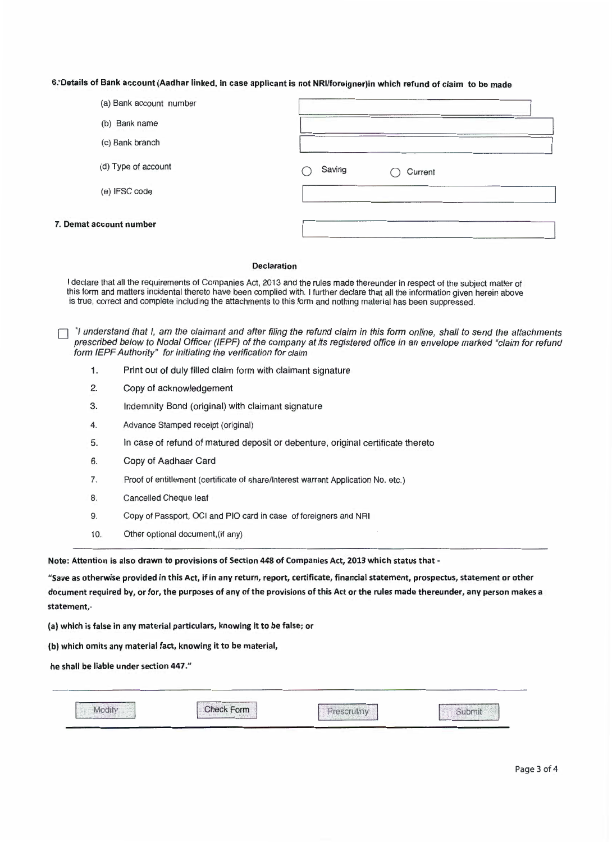## 6:' Details of Bank account (Aadhar linked, in case applicant is not NRl/foreigner)in which refund of claim to be made

| (a) Bank account number |                   |  |
|-------------------------|-------------------|--|
| (b) Bank name           |                   |  |
| (c) Bank branch         |                   |  |
| (d) Type of account     | Saving<br>Current |  |
| (e) IFSC code           |                   |  |
| 7. Demat account number |                   |  |

#### Declaration

I declare that all the requirements of Companies Act, 2013 and the rules made thereunder in respect of the subject matter of this form and matters incidental thereto have been complied with. I further declare that all the information given herein above is true, correct and complete including the attachments to this form and nothing material has been suppressed .

 $\Box$  \*I understand that I, am the claimant and after filing the refund claim in this form online, shall to send the attachments prescribed below to Nodal Officer (IEPF) of the company at its registered office in an envelope marked "claim for refund form IEPF Authority" for initiating the verification for claim

- 1. Print out of duly filled claim form with claimant signature
- 2. Copy of acknowledgement
- 3. Indemnity Bond (original) with claimant signature
- 4. Advance Stamped receipt (original)
- 5. In case of refund of matured deposit or debenture, original certificate thereto
- 6. Copy of Aadhaar Card
- 7. Proof of entitlement (certificate of share/Interest warrant Application No. etc.)
- 8. Cancelled Cheque leaf
- 9. Copy of Passport, OCI and PIO card in case of foreigners and NRI
- 10. Other optional document,(if any)

Note: Attention is also drawn to provisions of Section 448 of Companies Act, 2013 which status that -

"Save as otherwise provided in this Act, if in any return, report, certificate, financial statement, prospectus, statement or other document required by, or for, the purposes of any of the provisions of this Act or the rules made thereunder, any person makes a statement,-

(a) which is false in any material particulars, knowing it to be false; or

(b) which omits any material fact, knowing it to be material,

he shall be liable under section 447."